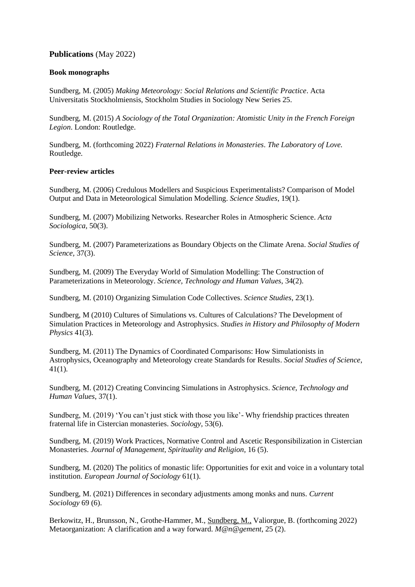# **Publications** (May 2022)

## **Book monographs**

Sundberg, M. (2005) *Making Meteorology: Social Relations and Scientific Practice*. Acta Universitatis Stockholmiensis, Stockholm Studies in Sociology New Series 25.

Sundberg, M. (2015) *A Sociology of the Total Organization: Atomistic Unity in the French Foreign Legion*. London: Routledge.

Sundberg, M. (forthcoming 2022) *Fraternal Relations in Monasteries*. *The Laboratory of Love.* Routledge.

# **Peer-review articles**

Sundberg, M. (2006) [Credulous Modellers and Suspicious Experimentalists? Comparison of Model](http://www.sciencestudies.fi/v19n1Sundberg)  [Output and Data in Meteorological Simulation Modelling.](http://www.sciencestudies.fi/v19n1Sundberg) *Science Studies*, 19(1).

Sundberg, M. (2007) [Mobilizing Networks. Researcher Roles in Atmospheric Science.](http://asj.sagepub.com/cgi/content/abstract/50/3/271) *Acta Sociologica,* 50(3).

Sundberg, M. (2007) [Parameterizations as Boundary Objects on the Climate Arena.](http://sss.sagepub.com/cgi/content/refs/37/3/473) *Social Studies of Science,* 37(3).

Sundberg, M. (2009) [The Everyday World of Simulation Modelling: The Construction of](http://sth.sagepub.com/cgi/content/abstract/0162243907310215v1)  [Parameterizations in Meteorology.](http://sth.sagepub.com/cgi/content/abstract/0162243907310215v1) *Science, Technology and Human Values*, 34(2).

Sundberg, M. (2010) [Organizing Simulation Code Collectives.](http://www.sciencestudies.fi/node/1976) *Science Studies*, 23(1).

Sundberg, M (2010) [Cultures of Simulations vs. Cultures of Calculations? The Development of](http://www.sciencedirect.com/science?_ob=ArticleURL&_udi=B6VH6-50S2DGS-1&_user=2195977&_coverDate=09%2F30%2F2010&_rdoc=10&_fmt=high&_orig=browse&_origin=browse&_zone=rslt_list_item&_srch=doc-info%28%23toc%236058%232010%23999589996%232436735%23FLA%23display%23Volume%29&_cdi=6058&_sort=d&_docanchor=&view=c&_ct=11&_acct=C000035218&_version=1&_urlVersion=0&_userid=2195977&md5=1561dcad090a6b6fb4f0f4c5c17418e8&searchtype=a)  [Simulation Practices in Meteorology and Astrophysics.](http://www.sciencedirect.com/science?_ob=ArticleURL&_udi=B6VH6-50S2DGS-1&_user=2195977&_coverDate=09%2F30%2F2010&_rdoc=10&_fmt=high&_orig=browse&_origin=browse&_zone=rslt_list_item&_srch=doc-info%28%23toc%236058%232010%23999589996%232436735%23FLA%23display%23Volume%29&_cdi=6058&_sort=d&_docanchor=&view=c&_ct=11&_acct=C000035218&_version=1&_urlVersion=0&_userid=2195977&md5=1561dcad090a6b6fb4f0f4c5c17418e8&searchtype=a) *Studies in History and Philosophy of Modern Physics* 41(3).

Sundberg, M. (2011) The Dynamics of [Coordinated Comparisons: How Simulationists in](http://sss.sagepub.com/content/early/2010/11/11/0306312710385743.abstract)  [Astrophysics, Oceanography and Meteorology create Standards for Results.](http://sss.sagepub.com/content/early/2010/11/11/0306312710385743.abstract) *Social Studies of Science*, 41(1).

Sundberg, M. (2012) [Creating Convincing Simulations in Astrophysics.](http://sth.sagepub.com/content/early/2010/10/31/0162243910385417.abstract) *Science, Technology and Human Values*, 37(1).

Sundberg, M. (2019) 'You can't just stick with those you like'- Why friendship practices threaten fraternal life in Cistercian monasteries. *Sociology,* 53(6).

Sundberg, M. (2019) Work Practices, Normative Control and Ascetic Responsibilization in Cistercian Monasteries. *Journal of Management, Spirituality and Religion,* 16 (5).

Sundberg, M. (2020) The politics of monastic life: Opportunities for exit and voice in a voluntary total institution. *European Journal of Sociology* 61(1).

Sundberg, M. (2021) Differences in secondary adjustments among monks and nuns. *Current Sociology* 69 (6).

Berkowitz, H., Brunsson, N., Grothe-Hammer, M., Sundberg, M., Valiorgue, B. (forthcoming 2022) Metaorganization: A clarification and a way forward. *M@n@gement*, 25 (2).